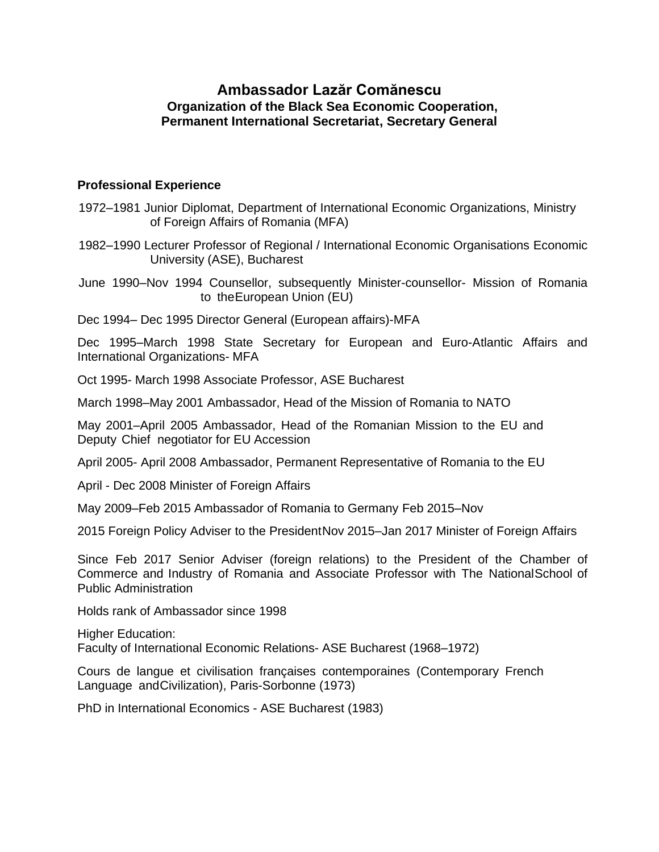## **Ambassador Lazăr Comănescu Organization of the Black Sea Economic Cooperation, Permanent International Secretariat, Secretary General**

## **Professional Experience**

- 1972–1981 Junior Diplomat, Department of International Economic Organizations, Ministry of Foreign Affairs of Romania (MFA)
- 1982–1990 Lecturer Professor of Regional / International Economic Organisations Economic University (ASE), Bucharest

June 1990–Nov 1994 Counsellor, subsequently Minister-counsellor- Mission of Romania to theEuropean Union (EU)

Dec 1994– Dec 1995 Director General (European affairs)-MFA

Dec 1995–March 1998 State Secretary for European and Euro-Atlantic Affairs and International Organizations- MFA

Oct 1995- March 1998 Associate Professor, ASE Bucharest

March 1998–May 2001 Ambassador, Head of the Mission of Romania to NATO

May 2001–April 2005 Ambassador, Head of the Romanian Mission to the EU and Deputy Chief negotiator for EU Accession

April 2005- April 2008 Ambassador, Permanent Representative of Romania to the EU

April - Dec 2008 Minister of Foreign Affairs

May 2009–Feb 2015 Ambassador of Romania to Germany Feb 2015–Nov

2015 Foreign Policy Adviser to the PresidentNov 2015–Jan 2017 Minister of Foreign Affairs

Since Feb 2017 Senior Adviser (foreign relations) to the President of the Chamber of Commerce and Industry of Romania and Associate Professor with The NationalSchool of Public Administration

Holds rank of Ambassador since 1998

Higher Education: Faculty of International Economic Relations- ASE Bucharest (1968–1972)

Cours de langue et civilisation françaises contemporaines (Contemporary French Language andCivilization), Paris-Sorbonne (1973)

PhD in International Economics - ASE Bucharest (1983)